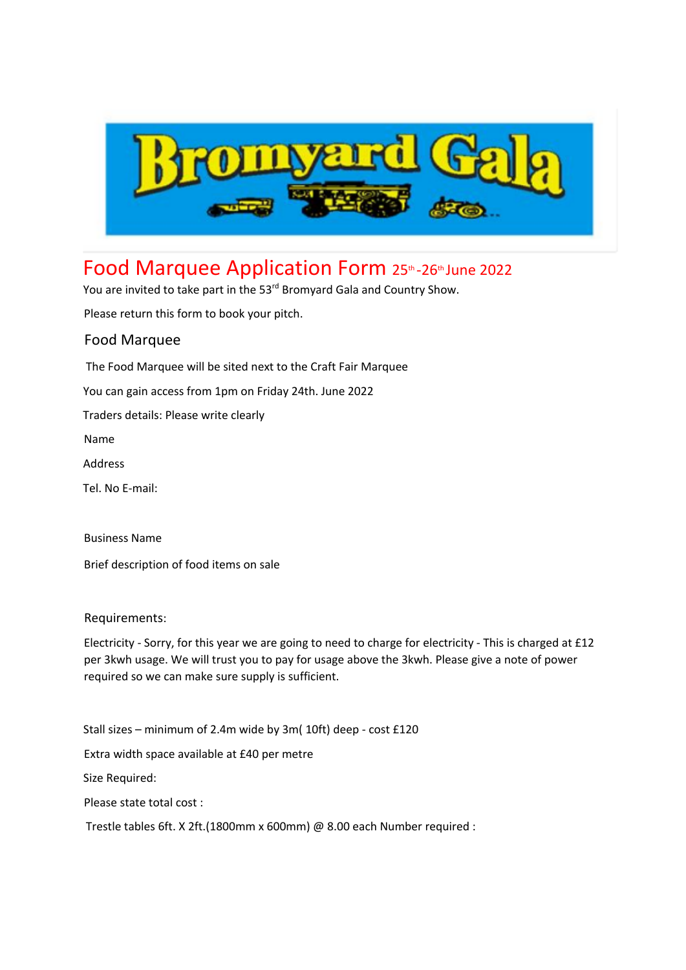

## Food Marquee Application Form 25th-26th June 2022

You are invited to take part in the 53<sup>rd</sup> Bromyard Gala and Country Show.

Please return this form to book your pitch.

## Food Marquee

The Food Marquee will be sited next to the Craft Fair Marquee

You can gain access from 1pm on Friday 24th. June 2022

Traders details: Please write clearly

Name

Address

Tel. No E-mail:

Business Name

Brief description of food items on sale

Requirements:

Electricity - Sorry, for this year we are going to need to charge for electricity - This is charged at £12 per 3kwh usage. We will trust you to pay for usage above the 3kwh. Please give a note of power required so we can make sure supply is sufficient.

Stall sizes – minimum of 2.4m wide by 3m( 10ft) deep - cost £120 Extra width space available at £40 per metre Size Required: Please state total cost : Trestle tables 6ft. X 2ft.(1800mm x 600mm) @ 8.00 each Number required :